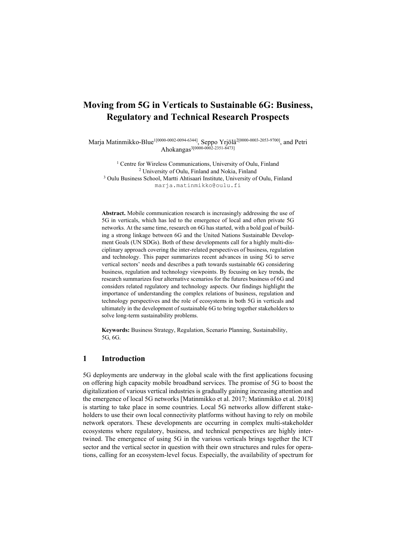# Moving from 5G in Verticals to Sustainable 6G: Business, Regulatory and Technical Research Prospects

Marja Matinmikko-Blue<sup>1[0000-0002-0094-6344]</sup>, Seppo Yrjölä<sup>2[0000-0003-2053-9700]</sup>, and Petri Ahokangas<sup>3[0000-0002-2351-8473]</sup>

<sup>1</sup> Centre for Wireless Communications, University of Oulu, Finland 2 University of Oulu, Finland and Nokia, Finland 3 Oulu Business School, Martti Ahtisaari Institute, University of Oulu, Finland marja.matinmikko@oulu.fi

Abstract. Mobile communication research is increasingly addressing the use of 5G in verticals, which has led to the emergence of local and often private 5G networks. At the same time, research on 6G has started, with a bold goal of building a strong linkage between 6G and the United Nations Sustainable Development Goals (UN SDGs). Both of these developments call for a highly multi-disciplinary approach covering the inter-related perspectives of business, regulation and technology. This paper summarizes recent advances in using 5G to serve vertical sectors' needs and describes a path towards sustainable 6G considering business, regulation and technology viewpoints. By focusing on key trends, the research summarizes four alternative scenarios for the futures business of 6G and considers related regulatory and technology aspects. Our findings highlight the importance of understanding the complex relations of business, regulation and technology perspectives and the role of ecosystems in both 5G in verticals and ultimately in the development of sustainable 6G to bring together stakeholders to solve long-term sustainability problems.

Keywords: Business Strategy, Regulation, Scenario Planning, Sustainability, 5G, 6G.

# 1 Introduction

5G deployments are underway in the global scale with the first applications focusing on offering high capacity mobile broadband services. The promise of 5G to boost the digitalization of various vertical industries is gradually gaining increasing attention and the emergence of local 5G networks [Matinmikko et al. 2017; Matinmikko et al. 2018] is starting to take place in some countries. Local 5G networks allow different stakeholders to use their own local connectivity platforms without having to rely on mobile network operators. These developments are occurring in complex multi-stakeholder ecosystems where regulatory, business, and technical perspectives are highly intertwined. The emergence of using 5G in the various verticals brings together the ICT sector and the vertical sector in question with their own structures and rules for operations, calling for an ecosystem-level focus. Especially, the availability of spectrum for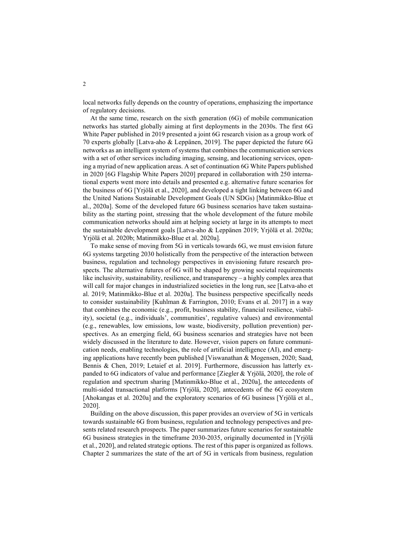local networks fully depends on the country of operations, emphasizing the importance of regulatory decisions.

At the same time, research on the sixth generation (6G) of mobile communication networks has started globally aiming at first deployments in the 2030s. The first 6G White Paper published in 2019 presented a joint 6G research vision as a group work of 70 experts globally [Latva-aho & Leppänen, 2019]. The paper depicted the future 6G networks as an intelligent system of systems that combines the communication services with a set of other services including imaging, sensing, and locationing services, opening a myriad of new application areas. A set of continuation 6G White Papers published in 2020 [6G Flagship White Papers 2020] prepared in collaboration with 250 international experts went more into details and presented e.g. alternative future scenarios for the business of 6G [Yrjölä et al., 2020], and developed a tight linking between 6G and the United Nations Sustainable Development Goals (UN SDGs) [Matinmikko-Blue et al., 2020a]. Some of the developed future 6G business scenarios have taken sustainability as the starting point, stressing that the whole development of the future mobile communication networks should aim at helping society at large in its attempts to meet the sustainable development goals [Latva-aho & Leppänen 2019; Yrjölä et al. 2020a; Yrjölä et al. 2020b; Matinmikko-Blue et al. 2020a].

To make sense of moving from 5G in verticals towards 6G, we must envision future 6G systems targeting 2030 holistically from the perspective of the interaction between business, regulation and technology perspectives in envisioning future research prospects. The alternative futures of 6G will be shaped by growing societal requirements like inclusivity, sustainability, resilience, and transparency – a highly complex area that will call for major changes in industrialized societies in the long run, see [Latva-aho et al. 2019; Matinmikko-Blue et al. 2020a]. The business perspective specifically needs to consider sustainability [Kuhlman & Farrington, 2010; Evans et al. 2017] in a way that combines the economic (e.g., profit, business stability, financial resilience, viability), societal (e.g., individuals', communities', regulative values) and environmental (e.g., renewables, low emissions, low waste, biodiversity, pollution prevention) perspectives. As an emerging field, 6G business scenarios and strategies have not been widely discussed in the literature to date. However, vision papers on future communication needs, enabling technologies, the role of artificial intelligence (AI), and emerging applications have recently been published [Viswanathan & Mogensen, 2020; Saad, Bennis & Chen, 2019; Letaief et al. 2019]. Furthermore, discussion has latterly expanded to 6G indicators of value and performance [Ziegler & Yrjölä, 2020], the role of regulation and spectrum sharing [Matinmikko-Blue et al., 2020a], the antecedents of multi-sided transactional platforms [Yrjölä, 2020], antecedents of the 6G ecosystem [Ahokangas et al. 2020a] and the exploratory scenarios of 6G business [Yrjölä et al., 2020].

Building on the above discussion, this paper provides an overview of 5G in verticals towards sustainable 6G from business, regulation and technology perspectives and presents related research prospects. The paper summarizes future scenarios for sustainable 6G business strategies in the timeframe 2030-2035, originally documented in [Yrjölä et al., 2020], and related strategic options. The rest of this paper is organized as follows. Chapter 2 summarizes the state of the art of 5G in verticals from business, regulation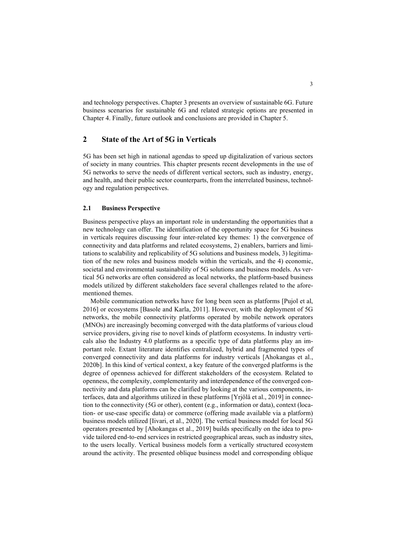and technology perspectives. Chapter 3 presents an overview of sustainable 6G. Future business scenarios for sustainable 6G and related strategic options are presented in Chapter 4. Finally, future outlook and conclusions are provided in Chapter 5.

# 2 State of the Art of 5G in Verticals

5G has been set high in national agendas to speed up digitalization of various sectors of society in many countries. This chapter presents recent developments in the use of 5G networks to serve the needs of different vertical sectors, such as industry, energy, and health, and their public sector counterparts, from the interrelated business, technology and regulation perspectives.

### 2.1 Business Perspective

Business perspective plays an important role in understanding the opportunities that a new technology can offer. The identification of the opportunity space for 5G business in verticals requires discussing four inter-related key themes: 1) the convergence of connectivity and data platforms and related ecosystems, 2) enablers, barriers and limitations to scalability and replicability of 5G solutions and business models, 3) legitimation of the new roles and business models within the verticals, and the 4) economic, societal and environmental sustainability of 5G solutions and business models. As vertical 5G networks are often considered as local networks, the platform-based business models utilized by different stakeholders face several challenges related to the aforementioned themes.

Mobile communication networks have for long been seen as platforms [Pujol et al, 2016] or ecosystems [Basole and Karla, 2011]. However, with the deployment of 5G networks, the mobile connectivity platforms operated by mobile network operators (MNOs) are increasingly becoming converged with the data platforms of various cloud service providers, giving rise to novel kinds of platform ecosystems. In industry verticals also the Industry 4.0 platforms as a specific type of data platforms play an important role. Extant literature identifies centralized, hybrid and fragmented types of converged connectivity and data platforms for industry verticals [Ahokangas et al., 2020b]. In this kind of vertical context, a key feature of the converged platforms is the degree of openness achieved for different stakeholders of the ecosystem. Related to openness, the complexity, complementarity and interdependence of the converged connectivity and data platforms can be clarified by looking at the various components, interfaces, data and algorithms utilized in these platforms [Yrjölä et al., 2019] in connection to the connectivity (5G or other), content (e.g., information or data), context (location- or use-case specific data) or commerce (offering made available via a platform) business models utilized [Iivari, et al., 2020]. The vertical business model for local 5G operators presented by [Ahokangas et al., 2019] builds specifically on the idea to provide tailored end-to-end services in restricted geographical areas, such as industry sites, to the users locally. Vertical business models form a vertically structured ecosystem around the activity. The presented oblique business model and corresponding oblique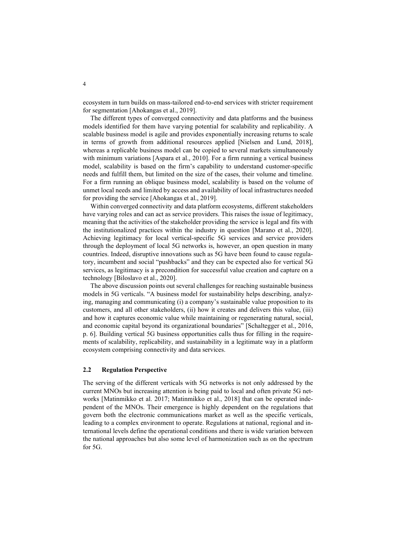ecosystem in turn builds on mass-tailored end-to-end services with stricter requirement for segmentation [Ahokangas et al., 2019].

The different types of converged connectivity and data platforms and the business models identified for them have varying potential for scalability and replicability. A scalable business model is agile and provides exponentially increasing returns to scale in terms of growth from additional resources applied [Nielsen and Lund, 2018], whereas a replicable business model can be copied to several markets simultaneously with minimum variations [Aspara et al., 2010]. For a firm running a vertical business model, scalability is based on the firm's capability to understand customer-specific needs and fulfill them, but limited on the size of the cases, their volume and timeline. For a firm running an oblique business model, scalability is based on the volume of unmet local needs and limited by access and availability of local infrastructures needed for providing the service [Ahokangas et al., 2019].

Within converged connectivity and data platform ecosystems, different stakeholders have varying roles and can act as service providers. This raises the issue of legitimacy, meaning that the activities of the stakeholder providing the service is legal and fits with the institutionalized practices within the industry in question [Marano et al., 2020]. Achieving legitimacy for local vertical-specific 5G services and service providers through the deployment of local 5G networks is, however, an open question in many countries. Indeed, disruptive innovations such as 5G have been found to cause regulatory, incumbent and social "pushbacks" and they can be expected also for vertical 5G services, as legitimacy is a precondition for successful value creation and capture on a technology [Biloslavo et al., 2020].

The above discussion points out several challenges for reaching sustainable business models in 5G verticals. "A business model for sustainability helps describing, analyzing, managing and communicating (i) a company's sustainable value proposition to its customers, and all other stakeholders, (ii) how it creates and delivers this value, (iii) and how it captures economic value while maintaining or regenerating natural, social, and economic capital beyond its organizational boundaries" [Schaltegger et al., 2016, p. 6]. Building vertical 5G business opportunities calls thus for filling in the requirements of scalability, replicability, and sustainability in a legitimate way in a platform ecosystem comprising connectivity and data services.

### 2.2 Regulation Perspective

The serving of the different verticals with 5G networks is not only addressed by the current MNOs but increasing attention is being paid to local and often private 5G networks [Matinmikko et al. 2017; Matinmikko et al., 2018] that can be operated independent of the MNOs. Their emergence is highly dependent on the regulations that govern both the electronic communications market as well as the specific verticals, leading to a complex environment to operate. Regulations at national, regional and international levels define the operational conditions and there is wide variation between the national approaches but also some level of harmonization such as on the spectrum for 5G.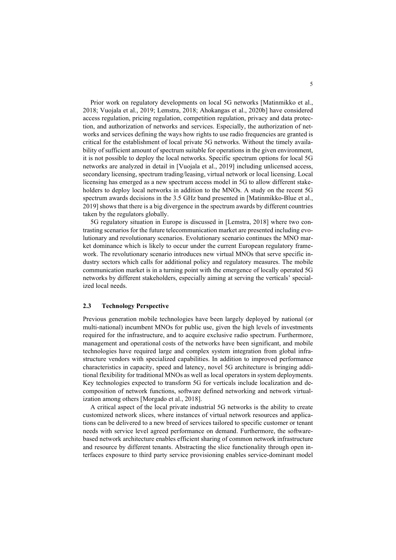Prior work on regulatory developments on local 5G networks [Matinmikko et al., 2018; Vuojala et al., 2019; Lemstra, 2018; Ahokangas et al., 2020b] have considered access regulation, pricing regulation, competition regulation, privacy and data protection, and authorization of networks and services. Especially, the authorization of networks and services defining the ways how rights to use radio frequencies are granted is critical for the establishment of local private 5G networks. Without the timely availability of sufficient amount of spectrum suitable for operations in the given environment, it is not possible to deploy the local networks. Specific spectrum options for local 5G networks are analyzed in detail in [Vuojala et al., 2019] including unlicensed access, secondary licensing, spectrum trading/leasing, virtual network or local licensing. Local licensing has emerged as a new spectrum access model in 5G to allow different stakeholders to deploy local networks in addition to the MNOs. A study on the recent 5G spectrum awards decisions in the 3.5 GHz band presented in [Matinmikko-Blue et al., 2019] shows that there is a big divergence in the spectrum awards by different countries taken by the regulators globally.

5G regulatory situation in Europe is discussed in [Lemstra, 2018] where two contrasting scenarios for the future telecommunication market are presented including evolutionary and revolutionary scenarios. Evolutionary scenario continues the MNO market dominance which is likely to occur under the current European regulatory framework. The revolutionary scenario introduces new virtual MNOs that serve specific industry sectors which calls for additional policy and regulatory measures. The mobile communication market is in a turning point with the emergence of locally operated 5G networks by different stakeholders, especially aiming at serving the verticals' specialized local needs.

#### 2.3 Technology Perspective

Previous generation mobile technologies have been largely deployed by national (or multi-national) incumbent MNOs for public use, given the high levels of investments required for the infrastructure, and to acquire exclusive radio spectrum. Furthermore, management and operational costs of the networks have been significant, and mobile technologies have required large and complex system integration from global infrastructure vendors with specialized capabilities. In addition to improved performance characteristics in capacity, speed and latency, novel 5G architecture is bringing additional flexibility for traditional MNOs as well as local operators in system deployments. Key technologies expected to transform 5G for verticals include localization and decomposition of network functions, software defined networking and network virtualization among others [Morgado et al., 2018].

A critical aspect of the local private industrial 5G networks is the ability to create customized network slices, where instances of virtual network resources and applications can be delivered to a new breed of services tailored to specific customer or tenant needs with service level agreed performance on demand. Furthermore, the softwarebased network architecture enables efficient sharing of common network infrastructure and resource by different tenants. Abstracting the slice functionality through open interfaces exposure to third party service provisioning enables service-dominant model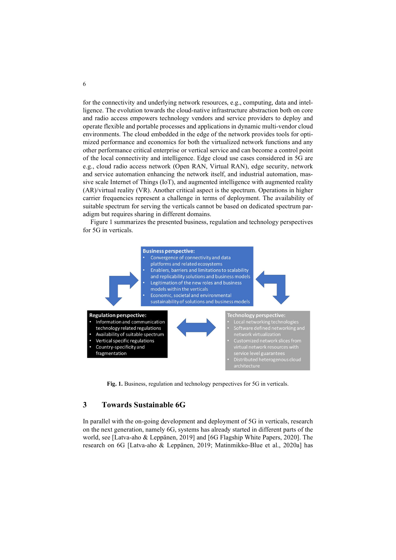for the connectivity and underlying network resources, e.g., computing, data and intelligence. The evolution towards the cloud-native infrastructure abstraction both on core and radio access empowers technology vendors and service providers to deploy and operate flexible and portable processes and applications in dynamic multi-vendor cloud environments. The cloud embedded in the edge of the network provides tools for optimized performance and economics for both the virtualized network functions and any other performance critical enterprise or vertical service and can become a control point of the local connectivity and intelligence. Edge cloud use cases considered in 5G are e.g., cloud radio access network (Open RAN, Virtual RAN), edge security, network and service automation enhancing the network itself, and industrial automation, massive scale Internet of Things (IoT), and augmented intelligence with augmented reality (AR)/virtual reality (VR). Another critical aspect is the spectrum. Operations in higher carrier frequencies represent a challenge in terms of deployment. The availability of suitable spectrum for serving the verticals cannot be based on dedicated spectrum paradigm but requires sharing in different domains.

Figure 1 summarizes the presented business, regulation and technology perspectives for 5G in verticals.



Fig. 1. Business, regulation and technology perspectives for 5G in verticals.

# 3 Towards Sustainable 6G

In parallel with the on-going development and deployment of 5G in verticals, research on the next generation, namely 6G, systems has already started in different parts of the world, see [Latva-aho & Leppänen, 2019] and [6G Flagship White Papers, 2020]. The research on 6G [Latva-aho & Leppänen, 2019; Matinmikko-Blue et al., 2020a] has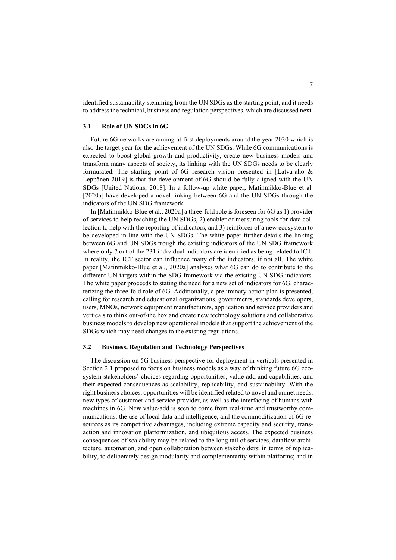identified sustainability stemming from the UN SDGs as the starting point, and it needs to address the technical, business and regulation perspectives, which are discussed next.

#### 3.1 Role of UN SDGs in 6G

Future 6G networks are aiming at first deployments around the year 2030 which is also the target year for the achievement of the UN SDGs. While 6G communications is expected to boost global growth and productivity, create new business models and transform many aspects of society, its linking with the UN SDGs needs to be clearly formulated. The starting point of 6G research vision presented in [Latva-aho & Leppänen 2019] is that the development of 6G should be fully aligned with the UN SDGs [United Nations, 2018]. In a follow-up white paper, Matinmikko-Blue et al. [2020a] have developed a novel linking between 6G and the UN SDGs through the indicators of the UN SDG framework.

In [Matinmikko-Blue et al., 2020a] a three-fold role is foreseen for 6G as 1) provider of services to help reaching the UN SDGs, 2) enabler of measuring tools for data collection to help with the reporting of indicators, and 3) reinforcer of a new ecosystem to be developed in line with the UN SDGs. The white paper further details the linking between 6G and UN SDGs trough the existing indicators of the UN SDG framework where only 7 out of the 231 individual indicators are identified as being related to ICT. In reality, the ICT sector can influence many of the indicators, if not all. The white paper [Matinmikko-Blue et al., 2020a] analyses what 6G can do to contribute to the different UN targets within the SDG framework via the existing UN SDG indicators. The white paper proceeds to stating the need for a new set of indicators for 6G, characterizing the three-fold role of 6G. Additionally, a preliminary action plan is presented, calling for research and educational organizations, governments, standards developers, users, MNOs, network equipment manufacturers, application and service providers and verticals to think out-of-the box and create new technology solutions and collaborative business models to develop new operational models that support the achievement of the SDGs which may need changes to the existing regulations.

#### 3.2 Business, Regulation and Technology Perspectives

The discussion on 5G business perspective for deployment in verticals presented in Section 2.1 proposed to focus on business models as a way of thinking future 6G ecosystem stakeholders' choices regarding opportunities, value-add and capabilities, and their expected consequences as scalability, replicability, and sustainability. With the right business choices, opportunities will be identified related to novel and unmet needs, new types of customer and service provider, as well as the interfacing of humans with machines in 6G. New value-add is seen to come from real-time and trustworthy communications, the use of local data and intelligence, and the commoditization of 6G resources as its competitive advantages, including extreme capacity and security, transaction and innovation platformization, and ubiquitous access. The expected business consequences of scalability may be related to the long tail of services, dataflow architecture, automation, and open collaboration between stakeholders; in terms of replicability, to deliberately design modularity and complementarity within platforms; and in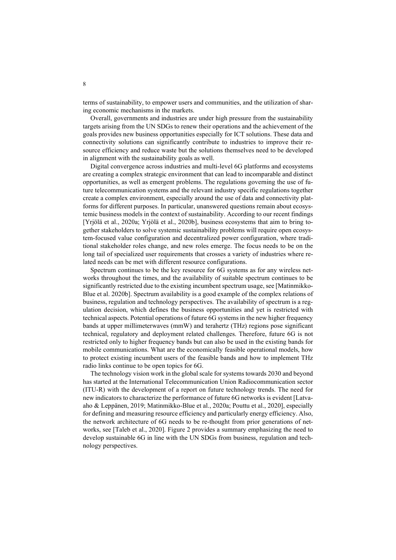terms of sustainability, to empower users and communities, and the utilization of sharing economic mechanisms in the markets.

Overall, governments and industries are under high pressure from the sustainability targets arising from the UN SDGs to renew their operations and the achievement of the goals provides new business opportunities especially for ICT solutions. These data and connectivity solutions can significantly contribute to industries to improve their resource efficiency and reduce waste but the solutions themselves need to be developed in alignment with the sustainability goals as well.

Digital convergence across industries and multi-level 6G platforms and ecosystems are creating a complex strategic environment that can lead to incomparable and distinct opportunities, as well as emergent problems. The regulations governing the use of future telecommunication systems and the relevant industry specific regulations together create a complex environment, especially around the use of data and connectivity platforms for different purposes. In particular, unanswered questions remain about ecosystemic business models in the context of sustainability. According to our recent findings [Yrjölä et al., 2020a; Yrjölä et al., 2020b], business ecosystems that aim to bring together stakeholders to solve systemic sustainability problems will require open ecosystem-focused value configuration and decentralized power configuration, where traditional stakeholder roles change, and new roles emerge. The focus needs to be on the long tail of specialized user requirements that crosses a variety of industries where related needs can be met with different resource configurations.

Spectrum continues to be the key resource for 6G systems as for any wireless networks throughout the times, and the availability of suitable spectrum continues to be significantly restricted due to the existing incumbent spectrum usage, see [Matinmikko-Blue et al. 2020b]. Spectrum availability is a good example of the complex relations of business, regulation and technology perspectives. The availability of spectrum is a regulation decision, which defines the business opportunities and yet is restricted with technical aspects. Potential operations of future 6G systems in the new higher frequency bands at upper millimeterwaves (mmW) and terahertz (THz) regions pose significant technical, regulatory and deployment related challenges. Therefore, future 6G is not restricted only to higher frequency bands but can also be used in the existing bands for mobile communications. What are the economically feasible operational models, how to protect existing incumbent users of the feasible bands and how to implement THz radio links continue to be open topics for 6G.

The technology vision work in the global scale for systems towards 2030 and beyond has started at the International Telecommunication Union Radiocommunication sector (ITU-R) with the development of a report on future technology trends. The need for new indicators to characterize the performance of future 6G networks is evident [Latvaaho & Leppänen, 2019; Matinmikko-Blue et al., 2020a; Pouttu et al., 2020], especially for defining and measuring resource efficiency and particularly energy efficiency. Also, the network architecture of 6G needs to be re-thought from prior generations of networks, see [Taleb et al., 2020]. Figure 2 provides a summary emphasizing the need to develop sustainable 6G in line with the UN SDGs from business, regulation and technology perspectives.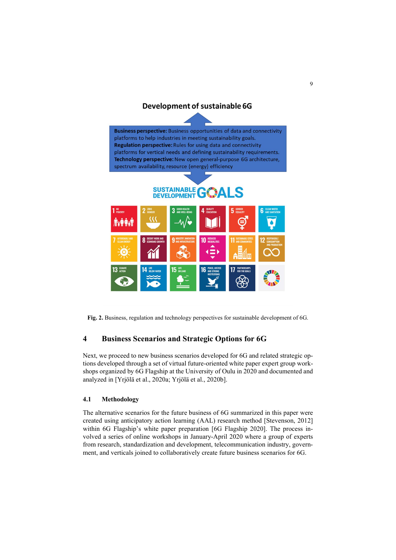

Fig. 2. Business, regulation and technology perspectives for sustainable development of 6G.

# 4 Business Scenarios and Strategic Options for 6G

Next, we proceed to new business scenarios developed for 6G and related strategic options developed through a set of virtual future-oriented white paper expert group workshops organized by 6G Flagship at the University of Oulu in 2020 and documented and analyzed in [Yrjölä et al., 2020a; Yrjölä et al., 2020b].

#### 4.1 Methodology

The alternative scenarios for the future business of 6G summarized in this paper were created using anticipatory action learning (AAL) research method [Stevenson, 2012] within 6G Flagship's white paper preparation [6G Flagship 2020]. The process involved a series of online workshops in January-April 2020 where a group of experts from research, standardization and development, telecommunication industry, government, and verticals joined to collaboratively create future business scenarios for 6G.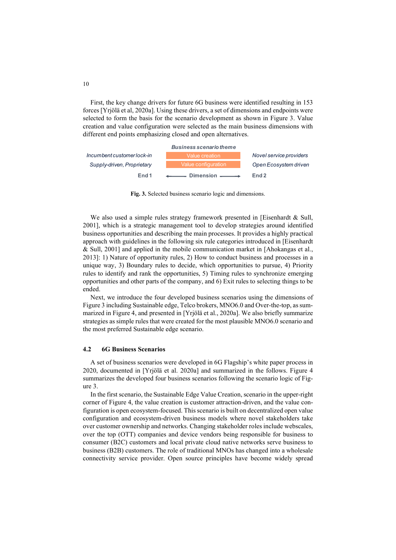First, the key change drivers for future 6G business were identified resulting in 153 forces [Yrjölä et al, 2020a]. Using these drivers, a set of dimensions and endpoints were selected to form the basis for the scenario development as shown in Figure 3. Value creation and value configuration were selected as the main business dimensions with different end points emphasizing closed and open alternatives.



Fig. 3. Selected business scenario logic and dimensions.

We also used a simple rules strategy framework presented in [Eisenhardt & Sull, 2001], which is a strategic management tool to develop strategies around identified business opportunities and describing the main processes. It provides a highly practical approach with guidelines in the following six rule categories introduced in [Eisenhardt & Sull, 2001] and applied in the mobile communication market in [Ahokangas et al., 2013]: 1) Nature of opportunity rules, 2) How to conduct business and processes in a unique way, 3) Boundary rules to decide, which opportunities to pursue, 4) Priority rules to identify and rank the opportunities, 5) Timing rules to synchronize emerging opportunities and other parts of the company, and 6) Exit rules to selecting things to be ended.

Next, we introduce the four developed business scenarios using the dimensions of Figure 3 including Sustainable edge, Telco brokers, MNO6.0 and Over-the-top, as summarized in Figure 4, and presented in [Yrjölä et al., 2020a]. We also briefly summarize strategies as simple rules that were created for the most plausible MNO6.0 scenario and the most preferred Sustainable edge scenario.

#### 4.2 6G Business Scenarios

A set of business scenarios were developed in 6G Flagship's white paper process in 2020, documented in [Yrjölä et al. 2020a] and summarized in the follows. Figure 4 summarizes the developed four business scenarios following the scenario logic of Figure 3.

In the first scenario, the Sustainable Edge Value Creation, scenario in the upper-right corner of Figure 4, the value creation is customer attraction-driven, and the value configuration is open ecosystem-focused. This scenario is built on decentralized open value configuration and ecosystem-driven business models where novel stakeholders take over customer ownership and networks. Changing stakeholder roles include webscales, over the top (OTT) companies and device vendors being responsible for business to consumer (B2C) customers and local private cloud native networks serve business to business (B2B) customers. The role of traditional MNOs has changed into a wholesale connectivity service provider. Open source principles have become widely spread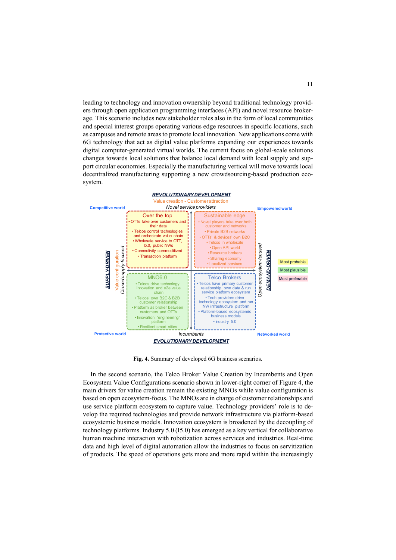leading to technology and innovation ownership beyond traditional technology providers through open application programming interfaces (API) and novel resource brokerage. This scenario includes new stakeholder roles also in the form of local communities and special interest groups operating various edge resources in specific locations, such as campuses and remote areas to promote local innovation. New applications come with 6G technology that act as digital value platforms expanding our experiences towards digital computer-generated virtual worlds. The current focus on global-scale solutions changes towards local solutions that balance local demand with local supply and support circular economies. Especially the manufacturing vertical will move towards local decentralized manufacturing supporting a new crowdsourcing-based production ecosystem. 11<br>
innovation ownership beyond traditional technology provid-<br>
hom programming interfaces (API) and novel resource broker-<br>
new stakeholder roles also in the form of local communities<br>
operating various edge resources in Figure 11<br>
Ship beyond traditional technology provid-<br>
interfaces (API) and novel resource broker-<br>
roles also in the form of local communities<br>
sedge resources in specific locations, such<br>
the forms expanding our experien From the top to the state of the state of the state of the state of the state of the state of the state of the state of the state of the state of the state of the state of the state of the state of the state of the stat II<br>
iding to technology and innovation ownership beyond traditional technology provid-<br>
Its cenario includes new stackholder roles also in the form of local communities<br>
depend interest groups operating various edge resou 11<br>
al technology provid-<br>
ore lesource broker-<br>
of local communities<br>
ecific locations, such<br>
pplications come with<br>
experiences towards<br>
global-scale solutions<br>
ocal supply and sup-<br>
1 move towards local<br>
meyer towards l



Fig. 4. Summary of developed 6G business scenarios.

In the second scenario, the Telco Broker Value Creation by Incumbents and Open Ecosystem Value Configurations scenario shown in lower-right corner of Figure 4, the main drivers for value creation remain the existing MNOs while value configuration is based on open ecosystem-focus. The MNOs are in charge of customer relationships and use service platform ecosystem to capture value. Technology providers' role is to develop the required technologies and provide network infrastructure via platform-based ecosystemic business models. Innovation ecosystem is broadened by the decoupling of technology platforms. Industry 5.0 (I5.0) has emerged as a key vertical for collaborative human machine interaction with robotization across services and industries. Real-time data and high level of digital automation allow the industries to focus on servitization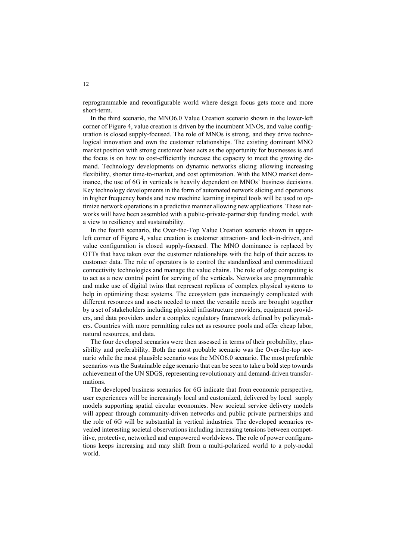reprogrammable and reconfigurable world where design focus gets more and more short-term.

In the third scenario, the MNO6.0 Value Creation scenario shown in the lower-left corner of Figure 4, value creation is driven by the incumbent MNOs, and value configuration is closed supply-focused. The role of MNOs is strong, and they drive technological innovation and own the customer relationships. The existing dominant MNO market position with strong customer base acts as the opportunity for businesses is and the focus is on how to cost-efficiently increase the capacity to meet the growing demand. Technology developments on dynamic networks slicing allowing increasing flexibility, shorter time-to-market, and cost optimization. With the MNO market dominance, the use of 6G in verticals is heavily dependent on MNOs' business decisions. Key technology developments in the form of automated network slicing and operations in higher frequency bands and new machine learning inspired tools will be used to optimize network operations in a predictive manner allowing new applications. These networks will have been assembled with a public-private-partnership funding model, with a view to resiliency and sustainability.

In the fourth scenario, the Over-the-Top Value Creation scenario shown in upperleft corner of Figure 4, value creation is customer attraction- and lock-in-driven, and value configuration is closed supply-focused. The MNO dominance is replaced by OTTs that have taken over the customer relationships with the help of their access to customer data. The role of operators is to control the standardized and commoditized connectivity technologies and manage the value chains. The role of edge computing is to act as a new control point for serving of the verticals. Networks are programmable and make use of digital twins that represent replicas of complex physical systems to help in optimizing these systems. The ecosystem gets increasingly complicated with different resources and assets needed to meet the versatile needs are brought together by a set of stakeholders including physical infrastructure providers, equipment providers, and data providers under a complex regulatory framework defined by policymakers. Countries with more permitting rules act as resource pools and offer cheap labor, natural resources, and data.

The four developed scenarios were then assessed in terms of their probability, plausibility and preferability. Both the most probable scenario was the Over-the-top scenario while the most plausible scenario was the MNO6.0 scenario. The most preferable scenarios was the Sustainable edge scenario that can be seen to take a bold step towards achievement of the UN SDGS, representing revolutionary and demand-driven transformations.

The developed business scenarios for 6G indicate that from economic perspective, user experiences will be increasingly local and customized, delivered by local supply models supporting spatial circular economies. New societal service delivery models will appear through community-driven networks and public private partnerships and the role of 6G will be substantial in vertical industries. The developed scenarios revealed interesting societal observations including increasing tensions between competitive, protective, networked and empowered worldviews. The role of power configurations keeps increasing and may shift from a multi-polarized world to a poly-nodal world.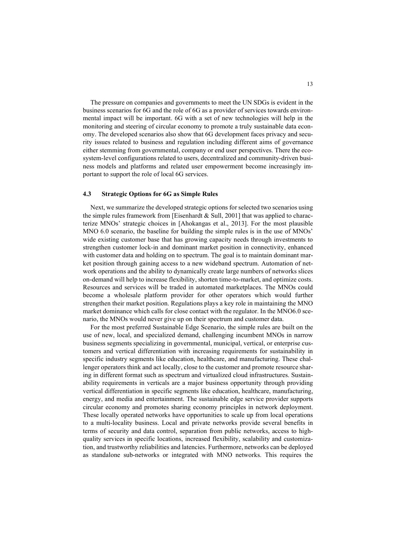The pressure on companies and governments to meet the UN SDGs is evident in the business scenarios for 6G and the role of 6G as a provider of services towards environmental impact will be important. 6G with a set of new technologies will help in the monitoring and steering of circular economy to promote a truly sustainable data economy. The developed scenarios also show that 6G development faces privacy and security issues related to business and regulation including different aims of governance either stemming from governmental, company or end user perspectives. There the ecosystem-level configurations related to users, decentralized and community-driven business models and platforms and related user empowerment become increasingly important to support the role of local 6G services.

### 4.3 Strategic Options for 6G as Simple Rules

Next, we summarize the developed strategic options for selected two scenarios using the simple rules framework from [Eisenhardt & Sull, 2001] that was applied to characterize MNOs' strategic choices in [Ahokangas et al., 2013]. For the most plausible MNO 6.0 scenario, the baseline for building the simple rules is in the use of MNOs' wide existing customer base that has growing capacity needs through investments to strengthen customer lock-in and dominant market position in connectivity, enhanced with customer data and holding on to spectrum. The goal is to maintain dominant market position through gaining access to a new wideband spectrum. Automation of network operations and the ability to dynamically create large numbers of networks slices on-demand will help to increase flexibility, shorten time-to-market, and optimize costs. Resources and services will be traded in automated marketplaces. The MNOs could become a wholesale platform provider for other operators which would further strengthen their market position. Regulations plays a key role in maintaining the MNO market dominance which calls for close contact with the regulator. In the MNO6.0 scenario, the MNOs would never give up on their spectrum and customer data.

For the most preferred Sustainable Edge Scenario, the simple rules are built on the use of new, local, and specialized demand, challenging incumbent MNOs in narrow business segments specializing in governmental, municipal, vertical, or enterprise customers and vertical differentiation with increasing requirements for sustainability in specific industry segments like education, healthcare, and manufacturing. These challenger operators think and act locally, close to the customer and promote resource sharing in different format such as spectrum and virtualized cloud infrastructures. Sustainability requirements in verticals are a major business opportunity through providing vertical differentiation in specific segments like education, healthcare, manufacturing, energy, and media and entertainment. The sustainable edge service provider supports circular economy and promotes sharing economy principles in network deployment. These locally operated networks have opportunities to scale up from local operations to a multi-locality business. Local and private networks provide several benefits in terms of security and data control, separation from public networks, access to highquality services in specific locations, increased flexibility, scalability and customization, and trustworthy reliabilities and latencies. Furthermore, networks can be deployed as standalone sub-networks or integrated with MNO networks. This requires the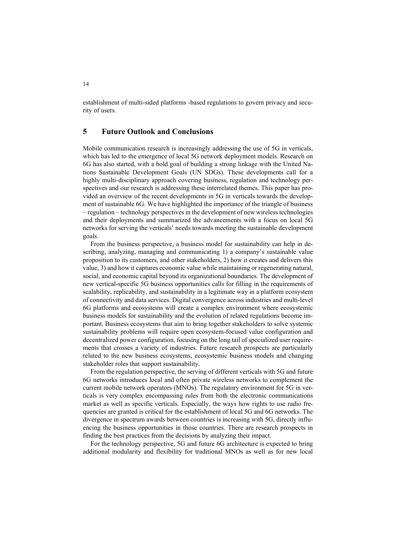establishment of multi-sided platforms -based regulations to govern privacy and security of users.

## 5 Future Outlook and Conclusions

Mobile communication research is increasingly addressing the use of 5G in verticals, which has led to the emergence of local 5G network deployment models. Research on 6G has also started, with a bold goal of building a strong linkage with the United Nations Sustainable Development Goals (UN SDGs). These developments call for a highly multi-disciplinary approach covering business, regulation and technology perspectives and our research is addressing these interrelated themes. This paper has provided an overview of the recent developments in 5G in verticals towards the development of sustainable 6G. We have highlighted the importance of the triangle of business – regulation – technology perspectives in the development of new wireless technologies and their deployments and summarized the advancements with a focus on local 5G networks for serving the verticals' needs towards meeting the sustainable development goals.

From the business perspective, a business model for sustainability can help in describing, analyzing, managing and communicating 1) a company's sustainable value proposition to its customers, and other stakeholders, 2) how it creates and delivers this value, 3) and how it captures economic value while maintaining or regenerating natural, social, and economic capital beyond its organizational boundaries. The development of new vertical-specific 5G business opportunities calls for filling in the requirements of scalability, replicability, and sustainability in a legitimate way in a platform ecosystem of connectivity and data services. Digital convergence across industries and multi-level 6G platforms and ecosystems will create a complex environment where ecosystemic business models for sustainability and the evolution of related regulations become important. Business ecosystems that aim to bring together stakeholders to solve systemic sustainability problems will require open ecosystem-focused value configuration and decentralized power configuration, focusing on the long tail of specialized user requirements that crosses a variety of industries. Future research prospects are particularly related to the new business ecosystems, ecosystemic business models and changing stakeholder roles that support sustainability.

From the regulation perspective, the serving of different verticals with 5G and future 6G networks introduces local and often private wireless networks to complement the current mobile network operators (MNOs). The regulatory environment for 5G in verticals is very complex encompassing rules from both the electronic communications market as well as specific verticals. Especially, the ways how rights to use radio frequencies are granted is critical for the establishment of local 5G and 6G networks. The divergence in spectrum awards between countries is increasing with 5G, directly influencing the business opportunities in those countries. There are research prospects in finding the best practices from the decisions by analyzing their impact.

For the technology perspective, 5G and future 6G architecture is expected to bring additional modularity and flexibility for traditional MNOs as well as for new local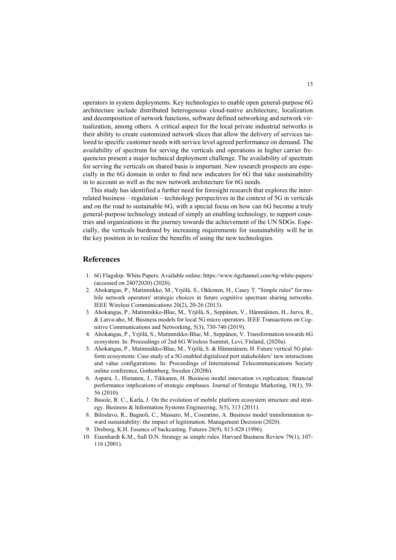operators in system deployments. Key technologies to enable open general-purpose 6G architecture include distributed heterogenous cloud-native architecture, localization and decomposition of network functions, software defined networking and network virtualization, among others. A critical aspect for the local private industrial networks is their ability to create customized network slices that allow the delivery of services tailored to specific customer needs with service level agreed performance on demand. The availability of spectrum for serving the verticals and operations in higher carrier frequencies present a major technical deployment challenge. The availability of spectrum for serving the verticals on shared basis is important. New research prospects are especially in the 6G domain in order to find new indicators for 6G that take sustainability in to account as well as the new network architecture for 6G needs.

This study has identified a further need for foresight research that explores the interrelated business – regulation – technology perspectives in the context of 5G in verticals and on the road to sustainable 6G, with a special focus on how can 6G become a truly general-purpose technology instead of simply an enabling technology, to support countries and organizations in the journey towards the achievement of the UN SDGs. Especially, the verticals burdened by increasing requirements for sustainability will be in the key position in to realize the benefits of using the new technologies.

### References

- 1. 6G Flagship. White Papers. Available online: https://www.6gchannel.com/6g-white-papers/ (accessed on 24072020) (2020).
- 2. Ahokangas, P., Matinmikko, M., Yrjölä, S., Okkonen, H., Casey T. "Simple rules" for mobile network operators' strategic choices in future cognitive spectrum sharing networks. IEEE Wireless Communications 20(2), 20-26 (2013).
- 3. Ahokangas, P., Matinmikko-Blue, M., Yrjölä, S., Seppänen, V., Hämmäinen, H., Jurva, R., & Latva-aho, M. Business models for local 5G micro operators. IEEE Transactions on Cognitive Communications and Networking, 5(3), 730-740 (2019).
- 4. Ahokangas, P., Yrjölä, S., Matinmikko-Blue, M., Seppänen, V. Transformation towards 6G ecosystem. In: Proceedings of 2nd 6G Wireless Summit, Levi, Finland, (2020a).
- 5. Ahokangas, P., Matinmikko-Blue, M., Yrjölä, S. & Hämmäinen, H. Future vertical 5G platform ecosystems: Case study of a 5G enabled digitalized port stakeholders' new interactions and value configurations. In: Proceedings of International Telecommunications Society online conference, Gothenburg, Sweden (2020b).
- 6. Aspara, J., Hietanen, J., Tikkanen, H. Business model innovation vs replication: financial performance implications of strategic emphases. Journal of Strategic Marketing, 18(1), 39- 56 (2010).
- 7. Basole, R. C., Karla, J. On the evolution of mobile platform ecosystem structure and strategy. Business & Information Systems Engineering, 3(5), 313 (2011).
- 8. Biloslavo, R., Bagnoli, C., Massaro, M., Cosentino, A. Business model transformation toward sustainability: the impact of legitimation. Management Decision (2020).
- 9. Dreborg, K.H. Essence of backcasting. Futures 28(9), 813-828 (1996).
- 10. Eisenhardt K.M., Sull D.N. Strategy as simple rules. Harvard Business Review 79(1), 107- 116 (2001).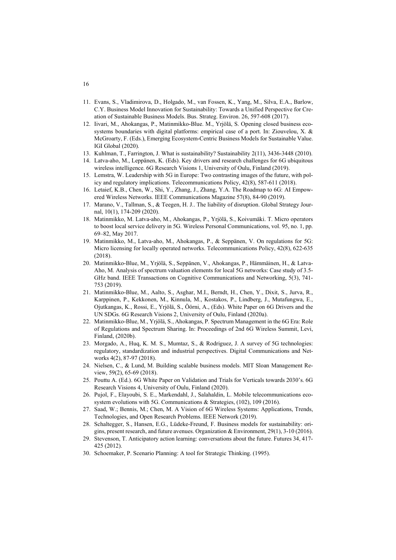- 11. Evans, S., Vladimirova, D., Holgado, M., van Fossen, K., Yang, M., Silva, E.A., Barlow, C.Y. Business Model Innovation for Sustainability: Towards a Unified Perspective for Creation of Sustainable Business Models. Bus. Strateg. Environ. 26, 597-608 (2017).
- 12. Iivari, M., Ahokangas, P., Matinmikko-Blue. M., Yrjölä, S. Opening closed business ecosystems boundaries with digital platforms: empirical case of a port. In: Ziouvelou, X. & McGroarty, F. (Eds.), Emerging Ecosystem-Centric Business Models for Sustainable Value. IGI Global (2020).
- 13. Kuhlman, T., Farrington, J. What is sustainability? Sustainability 2(11), 3436-3448 (2010).
- 14. Latva-aho, M., Leppänen, K. (Eds). Key drivers and research challenges for 6G ubiquitous wireless intelligence. 6G Research Visions 1, University of Oulu, Finland (2019).
- 15. Lemstra, W. Leadership with 5G in Europe: Two contrasting images of the future, with policy and regulatory implications. Telecommunications Policy, 42(8), 587-611 (2018).
- 16. Letaief, K.B., Chen, W., Shi, Y., Zhang, J., Zhang, Y.A. The Roadmap to 6G: AI Empowered Wireless Networks. IEEE Communications Magazine 57(8), 84-90 (2019).
- 17. Marano, V., Tallman, S., & Teegen, H. J.. The liability of disruption. Global Strategy Journal, 10(1), 174-209 (2020).
- 18. Matinmikko, M. Latva-aho, M., Ahokangas, P., Yrjölä, S., Koivumäki. T. Micro operators to boost local service delivery in 5G. Wireless Personal Communications, vol. 95, no. 1, pp. 69–82, May 2017.
- 19. Matinmikko, M., Latva-aho, M., Ahokangas, P., & Seppänen, V. On regulations for 5G: Micro licensing for locally operated networks. Telecommunications Policy, 42(8), 622-635 (2018).
- 20. Matinmikko-Blue, M., Yrjölä, S., Seppänen, V., Ahokangas, P., Hämmäinen, H., & Latva-Aho, M. Analysis of spectrum valuation elements for local 5G networks: Case study of 3.5- GHz band. IEEE Transactions on Cognitive Communications and Networking, 5(3), 741- 753 (2019).
- 21. Matinmikko-Blue, M., Aalto, S., Asghar, M.I., Berndt, H., Chen, Y., Dixit, S., Jurva, R., Karppinen, P., Kekkonen, M., Kinnula, M., Kostakos, P., Lindberg, J., Mutafungwa, E., Ojutkangas, K., Rossi, E., Yrjölä, S., Öörni, A., (Eds). White Paper on 6G Drivers and the UN SDGs. 6G Research Visions 2, University of Oulu, Finland (2020a).
- 22. Matinmikko-Blue, M., Yrjölä, S., Ahokangas, P. Spectrum Management in the 6G Era: Role of Regulations and Spectrum Sharing. In: Proceedings of 2nd 6G Wireless Summit, Levi, Finland, (2020b).
- 23. Morgado, A., Huq, K. M. S., Mumtaz, S., & Rodriguez, J. A survey of 5G technologies: regulatory, standardization and industrial perspectives. Digital Communications and Networks 4(2), 87-97 (2018).
- 24. Nielsen, C., & Lund, M. Building scalable business models. MIT Sloan Management Review, 59(2), 65-69 (2018).
- 25. Pouttu A. (Ed.). 6G White Paper on Validation and Trials for Verticals towards 2030's. 6G Research Visions 4, University of Oulu, Finland (2020).
- 26. Pujol, F., Elayoubi, S. E., Markendahl, J., Salahaldin, L. Mobile telecommunications ecosystem evolutions with 5G. Communications & Strategies, (102), 109 (2016).
- 27. Saad, W.; Bennis, M.; Chen, M. A Vision of 6G Wireless Systems: Applications, Trends, Technologies, and Open Research Problems. IEEE Network (2019).
- 28. Schaltegger, S., Hansen, E.G., Lüdeke-Freund, F. Business models for sustainability: origins, present research, and future avenues. Organization & Environment, 29(1), 3-10 (2016).
- 29. Stevenson, T. Anticipatory action learning: conversations about the future. Futures 34, 417- 425 (2012).
- 30. Schoemaker, P. Scenario Planning: A tool for Strategic Thinking. (1995).

### 16